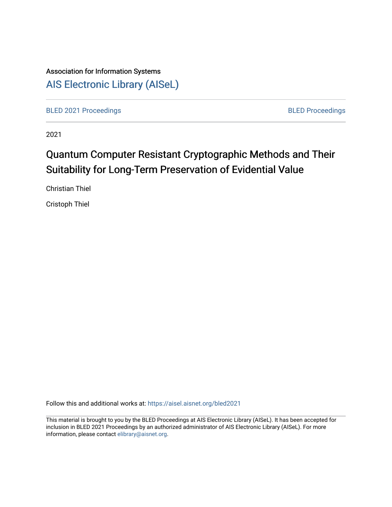# Association for Information Systems [AIS Electronic Library \(AISeL\)](https://aisel.aisnet.org/)

[BLED 2021 Proceedings](https://aisel.aisnet.org/bled2021) **BLED Proceedings** 

2021

# Quantum Computer Resistant Cryptographic Methods and Their Suitability for Long-Term Preservation of Evidential Value

Christian Thiel

Cristoph Thiel

Follow this and additional works at: [https://aisel.aisnet.org/bled2021](https://aisel.aisnet.org/bled2021?utm_source=aisel.aisnet.org%2Fbled2021%2F30&utm_medium=PDF&utm_campaign=PDFCoverPages) 

This material is brought to you by the BLED Proceedings at AIS Electronic Library (AISeL). It has been accepted for inclusion in BLED 2021 Proceedings by an authorized administrator of AIS Electronic Library (AISeL). For more information, please contact [elibrary@aisnet.org.](mailto:elibrary@aisnet.org%3E)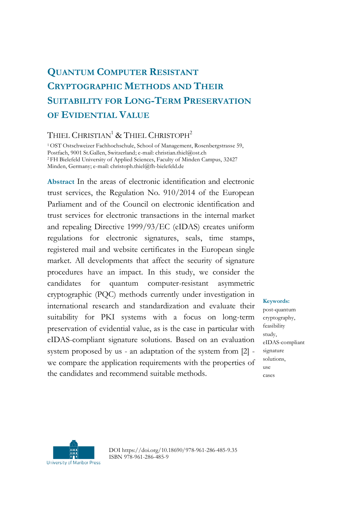# **QUANTUM COMPUTER RESISTANT CRYPTOGRAPHIC METHODS AND THEIR SUITABILITY FOR LONG-TERM PRESERVATION OF EVIDENTIAL VALUE**

## THIEL CHRISTIAN<sup>1</sup> & THIEL CHRISTOPH<sup>2</sup>

<sup>1</sup>OST Ostschweizer Fachhochschule, School of Management, Rosenbergstrasse 59, Postfach, 9001 St.Gallen, Switzerland; e-mail: christian.thiel@ost.ch <sup>2</sup>FH Bielefeld University of Applied Sciences, Faculty of Minden Campus, 32427 Minden, Germany; e-mail: christoph.thiel@fh-bielefeld.de

**Abstract** In the areas of electronic identification and electronic trust services, the Regulation No. 910/2014 of the European Parliament and of the Council on electronic identification and trust services for electronic transactions in the internal market and repealing Directive 1999/93/EC (eIDAS) creates uniform regulations for electronic signatures, seals, time stamps, registered mail and website certificates in the European single market. All developments that affect the security of signature procedures have an impact. In this study, we consider the candidates for quantum computer-resistant asymmetric cryptographic (PQC) methods currently under investigation in international research and standardization and evaluate their suitability for PKI systems with a focus on long-term preservation of evidential value, as is the case in particular with eIDAS-compliant signature solutions. Based on an evaluation system proposed by us - an adaptation of the system from [2] we compare the application requirements with the properties of the candidates and recommend suitable methods.

**Keywords:**

post-quantum cryptography, feasibility study, eIDAS-compliant signature solutions, use cases



DOI https://doi.org/10.18690/978-961-286-485-9.35 ISBN 978-961-286-485-9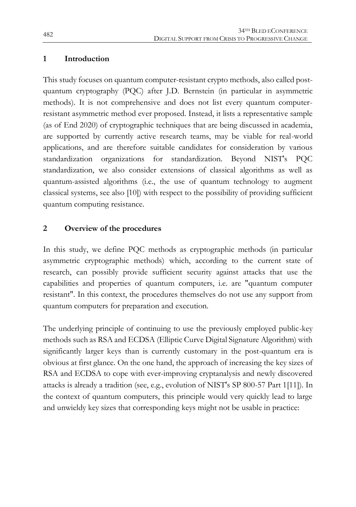#### **1 Introduction**

This study focuses on quantum computer-resistant crypto methods, also called postquantum cryptography (PQC) after J.D. Bernstein (in particular in asymmetric methods). It is not comprehensive and does not list every quantum computerresistant asymmetric method ever proposed. Instead, it lists a representative sample (as of End 2020) of cryptographic techniques that are being discussed in academia, are supported by currently active research teams, may be viable for real-world applications, and are therefore suitable candidates for consideration by various standardization organizations for standardization. Beyond NIST's PQC standardization, we also consider extensions of classical algorithms as well as quantum-assisted algorithms (i.e., the use of quantum technology to augment classical systems, see also [10]) with respect to the possibility of providing sufficient quantum computing resistance.

## **2 Overview of the procedures**

In this study, we define PQC methods as cryptographic methods (in particular asymmetric cryptographic methods) which, according to the current state of research, can possibly provide sufficient security against attacks that use the capabilities and properties of quantum computers, i.e. are "quantum computer resistant". In this context, the procedures themselves do not use any support from quantum computers for preparation and execution.

The underlying principle of continuing to use the previously employed public-key methods such as RSA and ECDSA (Elliptic Curve Digital Signature Algorithm) with significantly larger keys than is currently customary in the post-quantum era is obvious at first glance. On the one hand, the approach of increasing the key sizes of RSA and ECDSA to cope with ever-improving cryptanalysis and newly discovered attacks is already a tradition (see, e.g., evolution of NIST's SP 800-57 Part 1[11]). In the context of quantum computers, this principle would very quickly lead to large and unwieldy key sizes that corresponding keys might not be usable in practice: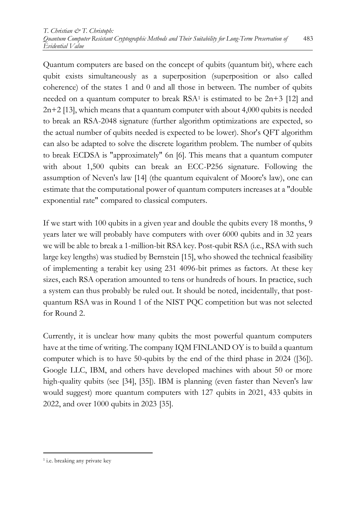Quantum computers are based on the concept of qubits (quantum bit), where each qubit exists simultaneously as a superposition (superposition or also called coherence) of the states 1 and 0 and all those in between. The number of qubits needed on a quantum computer to break  $RSA<sup>1</sup>$  is estimated to be  $2n+3$  [12] and 2n+2 [13], which means that a quantum computer with about 4,000 qubits is needed to break an RSA-2048 signature (further algorithm optimizations are expected, so the actual number of qubits needed is expected to be lower). Shor's QFT algorithm can also be adapted to solve the discrete logarithm problem. The number of qubits to break ECDSA is "approximately" 6n [6]. This means that a quantum computer with about 1,500 qubits can break an ECC-P256 signature. Following the assumption of Neven's law [14] (the quantum equivalent of Moore's law), one can estimate that the computational power of quantum computers increases at a "double exponential rate" compared to classical computers.

If we start with 100 qubits in a given year and double the qubits every 18 months, 9 years later we will probably have computers with over 6000 qubits and in 32 years we will be able to break a 1-million-bit RSA key. Post-qubit RSA (i.e., RSA with such large key lengths) was studied by Bernstein [15], who showed the technical feasibility of implementing a terabit key using 231 4096-bit primes as factors. At these key sizes, each RSA operation amounted to tens or hundreds of hours. In practice, such a system can thus probably be ruled out. It should be noted, incidentally, that postquantum RSA was in Round 1 of the NIST PQC competition but was not selected for Round 2.

Currently, it is unclear how many qubits the most powerful quantum computers have at the time of writing. The company IQM FINLAND OY is to build a quantum computer which is to have 50-qubits by the end of the third phase in 2024 ([36]). Google LLC, IBM, and others have developed machines with about 50 or more high-quality qubits (see [34], [35]). IBM is planning (even faster than Neven's law would suggest) more quantum computers with 127 qubits in 2021, 433 qubits in 2022, and over 1000 qubits in 2023 [35].

1

<sup>&</sup>lt;sup>1</sup> i.e. breaking any private key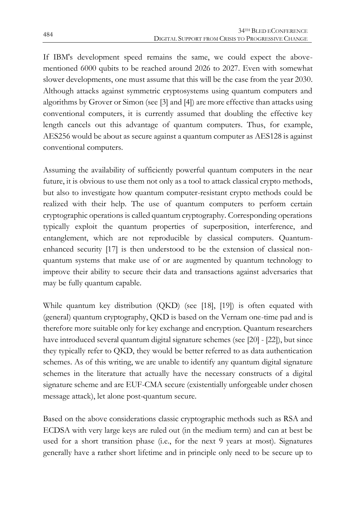If IBM's development speed remains the same, we could expect the abovementioned 6000 qubits to be reached around 2026 to 2027. Even with somewhat slower developments, one must assume that this will be the case from the year 2030. Although attacks against symmetric cryptosystems using quantum computers and algorithms by Grover or Simon (see [3] and [4]) are more effective than attacks using conventional computers, it is currently assumed that doubling the effective key length cancels out this advantage of quantum computers. Thus, for example, AES256 would be about as secure against a quantum computer as AES128 is against conventional computers.

Assuming the availability of sufficiently powerful quantum computers in the near future, it is obvious to use them not only as a tool to attack classical crypto methods, but also to investigate how quantum computer-resistant crypto methods could be realized with their help. The use of quantum computers to perform certain cryptographic operations is called quantum cryptography. Corresponding operations typically exploit the quantum properties of superposition, interference, and entanglement, which are not reproducible by classical computers. Quantumenhanced security [17] is then understood to be the extension of classical nonquantum systems that make use of or are augmented by quantum technology to improve their ability to secure their data and transactions against adversaries that may be fully quantum capable.

While quantum key distribution (QKD) (see [18], [19]) is often equated with (general) quantum cryptography, QKD is based on the Vernam one-time pad and is therefore more suitable only for key exchange and encryption. Quantum researchers have introduced several quantum digital signature schemes (see [20] - [22]), but since they typically refer to QKD, they would be better referred to as data authentication schemes. As of this writing, we are unable to identify any quantum digital signature schemes in the literature that actually have the necessary constructs of a digital signature scheme and are EUF-CMA secure (existentially unforgeable under chosen message attack), let alone post-quantum secure.

Based on the above considerations classic cryptographic methods such as RSA and ECDSA with very large keys are ruled out (in the medium term) and can at best be used for a short transition phase (i.e., for the next 9 years at most). Signatures generally have a rather short lifetime and in principle only need to be secure up to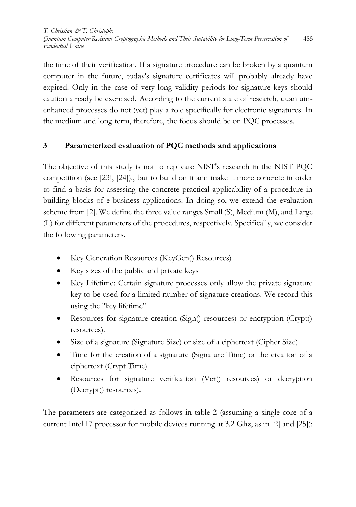the time of their verification. If a signature procedure can be broken by a quantum computer in the future, today's signature certificates will probably already have expired. Only in the case of very long validity periods for signature keys should caution already be exercised. According to the current state of research, quantumenhanced processes do not (yet) play a role specifically for electronic signatures. In the medium and long term, therefore, the focus should be on PQC processes.

# **3 Parameterized evaluation of PQC methods and applications**

The objective of this study is not to replicate NIST's research in the NIST PQC competition (see [23], [24])., but to build on it and make it more concrete in order to find a basis for assessing the concrete practical applicability of a procedure in building blocks of e-business applications. In doing so, we extend the evaluation scheme from [2]. We define the three value ranges Small (S), Medium (M), and Large (L) for different parameters of the procedures, respectively. Specifically, we consider the following parameters.

- Key Generation Resources (KeyGen() Resources)
- Key sizes of the public and private keys
- Key Lifetime: Certain signature processes only allow the private signature key to be used for a limited number of signature creations. We record this using the "key lifetime".
- Resources for signature creation (Sign() resources) or encryption (Crypt() resources).
- Size of a signature (Signature Size) or size of a ciphertext (Cipher Size)
- Time for the creation of a signature (Signature Time) or the creation of a ciphertext (Crypt Time)
- Resources for signature verification (Ver() resources) or decryption (Decrypt() resources).

The parameters are categorized as follows in table 2 (assuming a single core of a current Intel I7 processor for mobile devices running at 3.2 Ghz, as in [2] and [25]):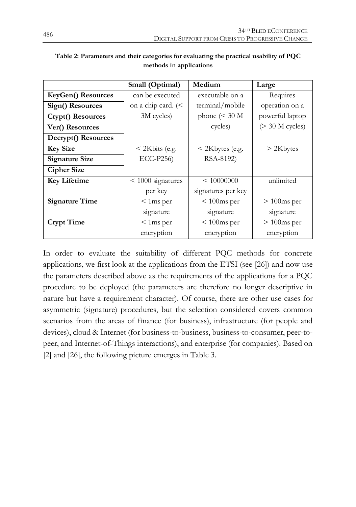|                       | Medium<br>Small (Optimal)     |                                  | Large             |  |
|-----------------------|-------------------------------|----------------------------------|-------------------|--|
| KeyGen() Resources    | can be executed               | executable on a                  | Requires          |  |
| Sign() Resources      | on a chip card. $\leq$        | terminal/mobile                  | operation on a    |  |
| Crypt() Resources     | 3M cycles)                    | phone $(30 \text{ M})$           | powerful laptop   |  |
| Ver() Resources       |                               | cycles)                          | $(> 30$ M cycles) |  |
| Decrypt() Resources   |                               |                                  |                   |  |
| <b>Key Size</b>       | $<$ 2Kbits (e.g.              | < 2Kbytes (e.g.                  | $>$ 2Kbytes       |  |
| <b>Signature Size</b> | ECC-P256)                     | RSA-8192)                        |                   |  |
| <b>Cipher Size</b>    |                               |                                  |                   |  |
| <b>Key Lifetime</b>   | $< 1000$ signatures           | $\leq 10000000$                  |                   |  |
|                       | per key<br>signatures per key |                                  |                   |  |
| <b>Signature Time</b> | $< 1$ ms per                  | $< 100$ ms per                   | $> 100$ ms per    |  |
|                       | signature                     | signature<br>signature           |                   |  |
| <b>Crypt Time</b>     | $< 1$ ms per                  | $< 100$ ms per<br>$> 100$ ms per |                   |  |
|                       | encryption                    | encryption<br>encryption         |                   |  |

| Table 2: Parameters and their categories for evaluating the practical usability of PQC |  |
|----------------------------------------------------------------------------------------|--|
| methods in applications                                                                |  |

In order to evaluate the suitability of different PQC methods for concrete applications, we first look at the applications from the ETSI (see [26]) and now use the parameters described above as the requirements of the applications for a PQC procedure to be deployed (the parameters are therefore no longer descriptive in nature but have a requirement character). Of course, there are other use cases for asymmetric (signature) procedures, but the selection considered covers common scenarios from the areas of finance (for business), infrastructure (for people and devices), cloud & Internet (for business-to-business, business-to-consumer, peer-topeer, and Internet-of-Things interactions), and enterprise (for companies). Based on [2] and [26], the following picture emerges in Table 3.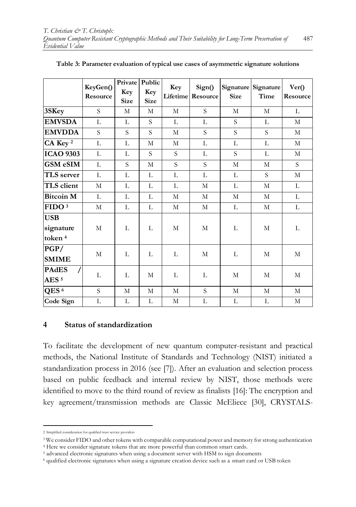|                                               | KeyGen()<br>Resource | Private<br>Key<br><b>Size</b> | Public<br>Key<br><b>Size</b> | Key        | Sign()<br><b>Lifetime</b> Resource | <b>Size</b> | Signature Signature<br>Time | Ver()<br>Resource |
|-----------------------------------------------|----------------------|-------------------------------|------------------------------|------------|------------------------------------|-------------|-----------------------------|-------------------|
| 3SKey                                         | S.                   | М                             | M                            | М          | S.                                 | М           | М                           | L                 |
| <b>EMVSDA</b>                                 | L                    | L                             | S                            | L          | L                                  | S           | L                           | М                 |
| <b>EMVDDA</b>                                 | S                    | S                             | S.                           | М          | S.                                 | S           | S.                          | M                 |
| CA Key <sup>2</sup>                           | L                    | L                             | M                            | M          | L                                  | L           | L                           | M                 |
| <b>ICAO 9303</b>                              | L                    | L                             | S                            | S          | L                                  | S           | L                           | М                 |
| <b>GSM eSIM</b>                               | L                    | S                             | M                            | S.         | S.                                 | M           | M                           | S.                |
| TLS server                                    | L                    | L                             | L                            | L          | L                                  | L           | S                           | М                 |
| TLS client                                    | M                    | L                             | $\mathbf L$                  | L          | M                                  | L           | M                           | L                 |
| <b>Bitcoin M</b>                              | L                    | L                             | L                            | M          | M                                  | M           | М                           | L                 |
| FIDO <sup>3</sup>                             | М                    | L                             | L                            | М          | М                                  | L           | M                           | L                 |
| <b>USB</b><br>signature<br>token <sup>4</sup> | M                    | L                             | L                            | M          | M                                  | L           | M                           | L                 |
| PGP/<br><b>SMIME</b>                          | М                    | L                             | L                            | L          | М                                  | L           | М                           | М                 |
| <b>PAdES</b><br>AES <sup>5</sup>              | L                    | L                             | M                            | L          | L                                  | М           | M                           | М                 |
| QES <sup>6</sup>                              | S                    | M                             | M                            | M          | S.                                 | M           | M                           | M                 |
| Code Sign                                     | L                    | L                             | L                            | $_{\rm M}$ | L                                  | L           | L                           | $\mathbf M$       |

#### **Table 3: Parameter evaluation of typical use cases of asymmetric signature solutions**

#### **4 Status of standardization**

To facilitate the development of new quantum computer-resistant and practical methods, the National Institute of Standards and Technology (NIST) initiated a standardization process in 2016 (see [7]). After an evaluation and selection process based on public feedback and internal review by NIST, those methods were identified to move to the third round of review as finalists [16]: The encryption and key agreement/transmission methods are Classic McEliece [30], CRYSTALS-

1

<sup>2</sup> Simplified consideration for qualified trust service providers

<sup>3</sup> We consider FIDO and other tokens with comparable computational power and memory for strong authentication

<sup>4</sup> Here we consider signature tokens that are more powerful than common smart cards.

<sup>5</sup> advanced electronic signatures when using a document server with HSM to sign documents

<sup>6</sup> qualified electronic signatures when using a signature creation device such as a smart card or USB token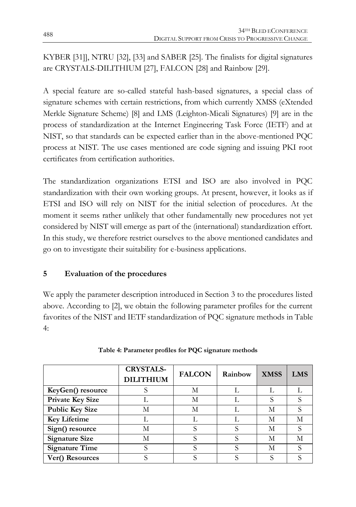KYBER [31]], NTRU [32], [33] and SABER [25]. The finalists for digital signatures are CRYSTALS-DILITHIUM [27], FALCON [28] and Rainbow [29].

A special feature are so-called stateful hash-based signatures, a special class of signature schemes with certain restrictions, from which currently XMSS (eXtended Merkle Signature Scheme) [8] and LMS (Leighton-Micali Signatures) [9] are in the process of standardization at the Internet Engineering Task Force (IETF) and at NIST, so that standards can be expected earlier than in the above-mentioned PQC process at NIST. The use cases mentioned are code signing and issuing PKI root certificates from certification authorities.

The standardization organizations ETSI and ISO are also involved in PQC standardization with their own working groups. At present, however, it looks as if ETSI and ISO will rely on NIST for the initial selection of procedures. At the moment it seems rather unlikely that other fundamentally new procedures not yet considered by NIST will emerge as part of the (international) standardization effort. In this study, we therefore restrict ourselves to the above mentioned candidates and go on to investigate their suitability for e-business applications.

## **5 Evaluation of the procedures**

We apply the parameter description introduced in Section 3 to the procedures listed above. According to [2], we obtain the following parameter profiles for the current favorites of the NIST and IETF standardization of PQC signature methods in Table 4:

|                         | <b>CRYSTALS-</b><br><b>DILITHIUM</b> | <b>FALCON</b> | Rainbow | <b>XMSS</b> | <b>LMS</b> |
|-------------------------|--------------------------------------|---------------|---------|-------------|------------|
| KeyGen() resource       |                                      | М             |         |             |            |
| <b>Private Key Size</b> |                                      | М             |         |             |            |
| <b>Public Key Size</b>  | М                                    | М             |         | М           |            |
| <b>Key Lifetime</b>     |                                      |               |         | М           | М          |
| Sign() resource         | М                                    | S             | S       | М           |            |
| <b>Signature Size</b>   | М                                    | S             |         | М           | M          |
| <b>Signature Time</b>   | S                                    | S             | S       | М           |            |
| Ver() Resources         |                                      |               |         |             |            |

**Table 4: Parameter profiles for PQC signature methods**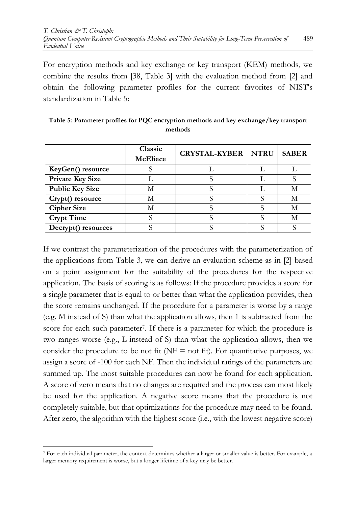For encryption methods and key exchange or key transport (KEM) methods, we combine the results from [38, Table 3] with the evaluation method from [2] and obtain the following parameter profiles for the current favorites of NIST's standardization in Table 5:

|                         | Classic<br><b>McEliece</b> | <b>CRYSTAL-KYBER   NTRU</b> | <b>SABER</b> |
|-------------------------|----------------------------|-----------------------------|--------------|
| KeyGen() resource       |                            |                             |              |
| <b>Private Key Size</b> |                            |                             |              |
| <b>Public Key Size</b>  |                            |                             | М            |
| Crypt() resource        |                            |                             | М            |
| <b>Cipher Size</b>      |                            |                             | М            |
| <b>Crypt Time</b>       |                            |                             | М            |
| Decrypt() resources     |                            |                             |              |

**Table 5: Parameter profiles for PQC encryption methods and key exchange/key transport methods**

If we contrast the parameterization of the procedures with the parameterization of the applications from Table 3, we can derive an evaluation scheme as in [2] based on a point assignment for the suitability of the procedures for the respective application. The basis of scoring is as follows: If the procedure provides a score for a single parameter that is equal to or better than what the application provides, then the score remains unchanged. If the procedure for a parameter is worse by a range (e.g. M instead of S) than what the application allows, then 1 is subtracted from the score for each such parameter7. If there is a parameter for which the procedure is two ranges worse (e.g., L instead of S) than what the application allows, then we consider the procedure to be not fit ( $NF = not$  fit). For quantitative purposes, we assign a score of -100 for each NF. Then the individual ratings of the parameters are summed up. The most suitable procedures can now be found for each application. A score of zero means that no changes are required and the process can most likely be used for the application. A negative score means that the procedure is not completely suitable, but that optimizations for the procedure may need to be found. After zero, the algorithm with the highest score (i.e., with the lowest negative score)

 $\overline{a}$ 

<sup>7</sup> For each individual parameter, the context determines whether a larger or smaller value is better. For example, a larger memory requirement is worse, but a longer lifetime of a key may be better.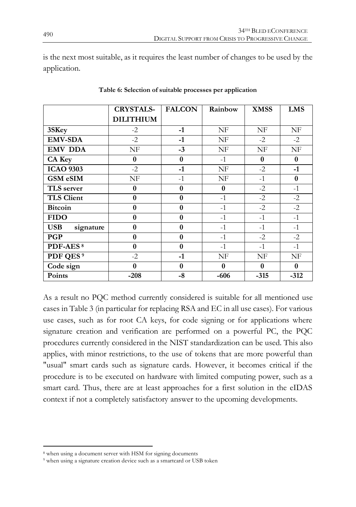is the next most suitable, as it requires the least number of changes to be used by the application.

|                         | <b>CRYSTALS-</b> | <b>FALCON</b>    | Rainbow  | <b>XMSS</b> | <b>LMS</b> |
|-------------------------|------------------|------------------|----------|-------------|------------|
|                         | <b>DILITHIUM</b> |                  |          |             |            |
| 3SKey                   | $-2$             | $-1$             | NF       | NF          | NF         |
| <b>EMV-SDA</b>          | $-2$             | $-1$             | NF       | $-2$        | $-2$       |
| <b>EMV DDA</b>          | NF               | $-3$             | NF       | NF          | NF         |
| <b>CA Key</b>           | $\bf{0}$         | $\bf{0}$         | $-1$     | $\bf{0}$    | $\bf{0}$   |
| <b>ICAO 9303</b>        | $-2$             | $-1$             | NF       | $-2$        | $-1$       |
| <b>GSM eSIM</b>         | NF               | $-1$             | NF       | $-1$        | $\bf{0}$   |
| TLS server              | $\bf{0}$         | $\bf{0}$         | $\bf{0}$ | $-2$        | $-1$       |
| <b>TLS Client</b>       | $\bf{0}$         | $\bf{0}$         | $-1$     | $-2$        | $-2$       |
| <b>Bitcoin</b>          | $\bf{0}$         | $\bf{0}$         | $-1$     | $-2$        | $-2$       |
| <b>FIDO</b>             | $\boldsymbol{0}$ | $\bf{0}$         | $-1$     | $-1$        | $-1$       |
| <b>USB</b><br>signature | $\boldsymbol{0}$ | $\bf{0}$         | $-1$     | $-1$        | $-1$       |
| <b>PGP</b>              | $\boldsymbol{0}$ | $\boldsymbol{0}$ | $-1$     | $-2$        | $-2$       |
| PDF-AES <sup>8</sup>    | $\bf{0}$         | $\bf{0}$         | $-1$     | $-1$        | $-1$       |
| PDF QES <sup>9</sup>    | $-2$             | $-1$             | NF       | NF          | NF         |
| Code sign               | $\bf{0}$         | $\bf{0}$         | $\bf{0}$ | $\bf{0}$    | $\bf{0}$   |
| Points                  | $-208$           | $-8$             | $-606$   | $-315$      | $-312$     |

**Table 6: Selection of suitable processes per application**

As a result no PQC method currently considered is suitable for all mentioned use cases in Table 3 (in particular for replacing RSA and EC in all use cases). For various use cases, such as for root CA keys, for code signing or for applications where signature creation and verification are performed on a powerful PC, the PQC procedures currently considered in the NIST standardization can be used. This also applies, with minor restrictions, to the use of tokens that are more powerful than "usual" smart cards such as signature cards. However, it becomes critical if the procedure is to be executed on hardware with limited computing power, such as a smart card. Thus, there are at least approaches for a first solution in the eIDAS context if not a completely satisfactory answer to the upcoming developments.

 $\overline{a}$ <sup>8</sup> when using a document server with HSM for signing documents

<sup>9</sup> when using a signature creation device such as a smartcard or USB token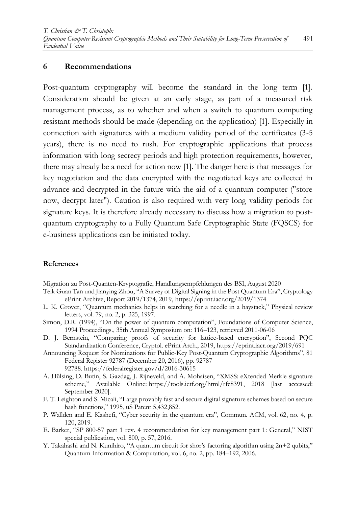#### **6 Recommendations**

Post-quantum cryptography will become the standard in the long term [1]. Consideration should be given at an early stage, as part of a measured risk management process, as to whether and when a switch to quantum computing resistant methods should be made (depending on the application) [1]. Especially in connection with signatures with a medium validity period of the certificates (3-5 years), there is no need to rush. For cryptographic applications that process information with long secrecy periods and high protection requirements, however, there may already be a need for action now [1]. The danger here is that messages for key negotiation and the data encrypted with the negotiated keys are collected in advance and decrypted in the future with the aid of a quantum computer ("store now, decrypt later"). Caution is also required with very long validity periods for signature keys. It is therefore already necessary to discuss how a migration to postquantum cryptography to a Fully Quantum Safe Cryptographic State (FQSCS) for e-business applications can be initiated today.

#### **References**

Migration zu Post-Quanten-Kryptografie, Handlungsempfehlungen des BSI, August 2020

- Teik Guan Tan und Jianying Zhou, "A Survey of Digital Signing in the Post Quantum Era", Cryptology ePrint Archive, Report 2019/1374, 2019, https://eprint.iacr.org/2019/1374
- L. K. Grover, "Quantum mechanics helps in searching for a needle in a haystack," Physical review letters, vol. 79, no. 2, p. 325, 1997.
- Simon, D.R. (1994), "On the power of quantum computation", Foundations of Computer Science, 1994 Proceedings., 35th Annual Symposium on: 116–123, retrieved 2011-06-06
- D. J. Bernstein, "Comparing proofs of security for lattice-based encryption", Second PQC Standardization Conference, Cryptol. ePrint Arch., 2019, https://eprint.iacr.org/2019/691
- Announcing Request for Nominations for Public-Key Post-Quantum Cryptographic Algorithms", 81 Federal Register 92787 (December 20, 2016), pp. 92787 92788. <https://federalregister.gov/d/2016-30615>
- A. Hülsing, D. Butin, S. Gazdag, J. Rijneveld, and A. Mohaisen, "XMSS: eXtended Merkle signature scheme," Available Online: [https://tools.ietf.org/html/rfc8391,](https://tools.ietf.org/html/rfc8391) 2018 [last accessed: September 2020].
- F. T. Leighton and S. Micali, "Large provably fast and secure digital signature schemes based on secure hash functions," 1995, uS Patent 5,432,852.
- P. Wallden and E. Kashefi, "Cyber security in the quantum era", Commun. ACM, vol. 62, no. 4, p. 120, 2019.
- E. Barker, "SP 800-57 part 1 rev. 4 recommendation for key management part 1: General," NIST special publication, vol. 800, p. 57, 2016.
- Y. Takahashi and N. Kunihiro, "A quantum circuit for shor's factoring algorithm using 2n+2 qubits," Quantum Information & Computation, vol. 6, no. 2, pp. 184–192, 2006.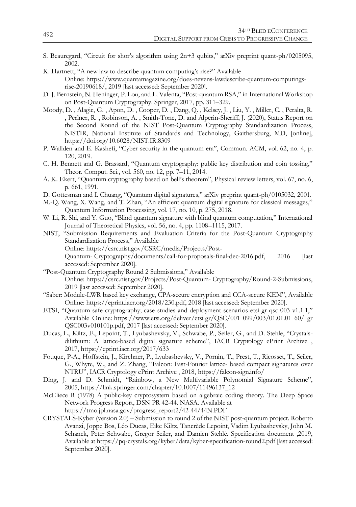- S. Beauregard, "Circuit for shor's algorithm using 2n+3 qubits," arXiv preprint quant-ph/0205095, 2002.
- K. Hartnett, "A new law to describe quantum computing's rise?" Available Online: [https://www.quantamagazine.org/does-nevens-lawdescribe-quantum-computings](https://www.quantamagazine.org/does-nevens-lawdescribe-quantum-computings-rise-20190618/)[rise-20190618/,](https://www.quantamagazine.org/does-nevens-lawdescribe-quantum-computings-rise-20190618/) 2019 [last accessed: September 2020].
- D. J. Bernstein, N. Heninger, P. Lou, and L. Valenta, "Post-quantum RSA," in International Workshop on Post-Quantum Cryptography. Springer, 2017, pp. 311–329.
- Moody, D. , Alagic, G. , Apon, D. , Cooper, D. , Dang, Q. , Kelsey, J. , Liu, Y. , Miller, C. , Peralta, R. , Perlner, R. , Robinson, A. , Smith-Tone, D. and Alperin-Sheriff, J. (2020), Status Report on the Second Round of the NIST Post-Quantum Cryptography Standardization Process, NISTIR, National Institute of Standards and Technology, Gaithersburg, MD, [online], https://doi.org/10.6028/NIST.IR.8309
- P. Wallden and E. Kashefi, "Cyber security in the quantum era", Commun. ACM, vol. 62, no. 4, p. 120, 2019.
- C. H. Bennett and G. Brassard, "Quantum cryptography: public key distribution and coin tossing," Theor. Comput. Sci., vol. 560, no. 12, pp. 7–11, 2014.
- A. K. Ekert, "Quantum cryptography based on bell's theorem", Physical review letters, vol. 67, no. 6, p. 661, 1991.
- D. Gottesman and I. Chuang, "Quantum digital signatures," arXiv preprint quant-ph/0105032, 2001.
- M.-Q. Wang, X. Wang, and T. Zhan, "An efficient quantum digital signature for classical messages," Quantum Information Processing, vol. 17, no. 10, p. 275, 2018.
- W. Li, R. Shi, and Y. Guo, "Blind quantum signature with blind quantum computation," International Journal of Theoretical Physics, vol. 56, no. 4, pp. 1108–1115, 2017.
- NIST, "Submission Requirements and Evaluation Criteria for the Post-Quantum Cryptography Standardization Process," Available Online: [https://csrc.nist.gov/CSRC/media/Projects/Post-](https://csrc.nist.gov/CSRC/media/Projects/Post-Quantum-)[Quantum-](https://csrc.nist.gov/CSRC/media/Projects/Post-Quantum-) Cryptography/documents/call-for-proposals-final-dec-2016.pdf, 2016 [last
	- accessed: September 2020].
- "Post-Quantum Cryptography Round 2 Submissions," Available Online: <https://csrc.nist.gov/Projects/Post-Quantum-> Cryptography/Round-2-Submissions, 2019 [last accessed: September 2020].
- "Saber: Module-LWR based key exchange, CPA-secure encryption and CCA-secure KEM", Available Online: [https://eprint.iacr.org/2018/230.pdf,](https://eprint.iacr.org/2018/230.pdf) 2018 [last accessed: September 2020].
- ETSI, "Quantum safe cryptography; case studies and deployment scenarios etsi gr qsc 003 v1.1.1," Available Online: <https://www.etsi.org/deliver/etsi> gr/QSC/001 099/003/01.01.01 60/ gr QSC003v010101p.pdf, 2017 [last accessed: September 2020].
- Ducas, L., Kiltz, E., Lepoint, T., Lyubashevsky, V., Schwabe, P., Seiler, G., and D. Stehle, "Crystalsdilithium: A lattice-based digital signature scheme", IACR Cryptology ePrint Archive , 2017, <https://eprint.iacr.org/2017/633>
- Fouque, P-A., Hoffstein, J., Kirchner, P., Lyubashevsky, V., Pornin, T., Prest, T., Ricosset, T., Seiler, G., Whyte, W., and Z. Zhang, "Falcon: Fast-Fourier lattice- based compact signatures over NTRU", IACR Cryptology ePrint Archive , 2018, <https://falcon-sign.info/>
- Ding, J. and D. Schmidt, "Rainbow, a New Multivariable Polynomial Signature Scheme", 2005, [https://link.springer.com/chapter/10.1007/11496137\\_12](https://link.springer.com/chapter/10.1007/11496137_12)
- McEliece R (1978) A public-key cryptosystem based on algebraic coding theory. The Deep Space Network Progress Report, DSN PR 42-44. NASA. Available at [https://tmo.jpl.nasa.gov/progress\\_report2/42-44/44N.PDF](https://tmo.jpl.nasa.gov/progress_report2/42-44/44N.PDF)
- CRYSTALS-Kyber (version 2.0) Submission to round 2 of the NIST post-quantum project. Roberto Avanzi, Joppe Bos, Léo Ducas, Eike Kiltz, Tancrède Lepoint, Vadim Lyubashevsky, John M. Schanck, Peter Schwabe, Gregor Seiler, and Damien Stehlé. Specification document ,2019, Available a[t https://pq-crystals.org/kyber/data/kyber-specification-round2.pdf](https://pq-crystals.org/kyber/data/kyber-specification-round2.pdf) [last accessed: September 2020].